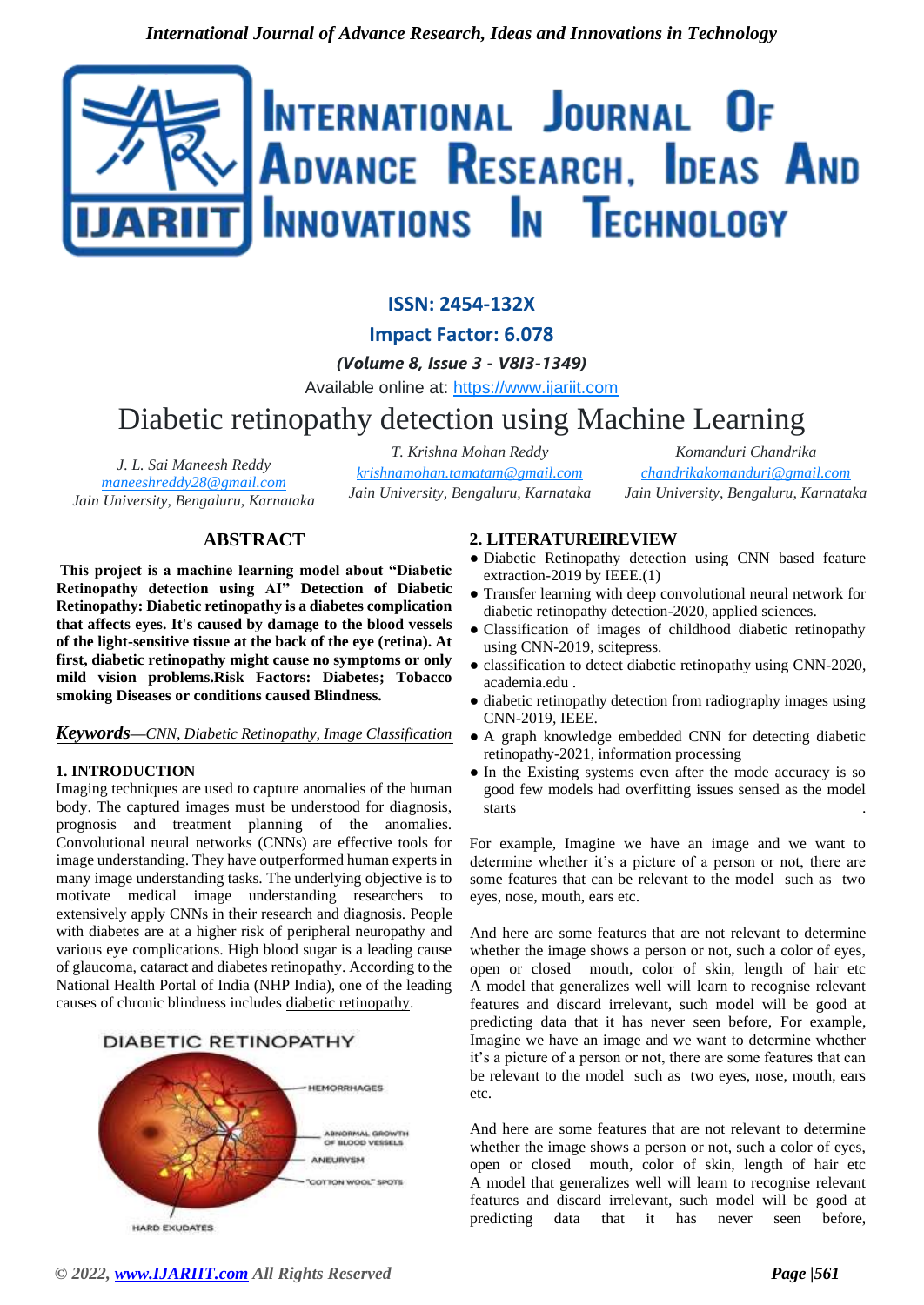# INTERNATIONAL JOURNAL OF **ADVANCE RESEARCH, IDEAS AND** INNOVATIONS IN TECHNOLOGY

# **ISSN: 2454-132X**

**Impact Factor: 6.078**

*(Volume 8, Issue 3 - V8I3-1349)*

Available online at: https://www.ijariit.com

# Diabetic retinopathy detection using Machine Learning

*J. L. Sai Maneesh Reddy maneeshreddy28@gmail.com Jain University, Bengaluru, Karnataka* *T. Krishna Mohan Reddy*

*krishnamohan.tamatam@gmail.com Jain University, Bengaluru, Karnataka*

*Komanduri Chandrika chandrikakomanduri@gmail.com Jain University, Bengaluru, Karnataka*

# **ABSTRACT**

**This project is a machine learning model about "Diabetic Retinopathy detection using AI" Detection of Diabetic Retinopathy: Diabetic retinopathy is a diabetes complication that affects eyes. It's caused by damage to the blood vessels of the light-sensitive tissue at the back of the eye (retina). At first, diabetic retinopathy might cause no symptoms or only mild vision problems.Risk Factors: Diabetes; Tobacco smoking Diseases or conditions caused Blindness.** 

#### *Keywords—CNN, Diabetic Retinopathy, Image Classification*

# **1. INTRODUCTION**

Imaging techniques are used to capture anomalies of the human body. The captured images must be understood for diagnosis, prognosis and treatment planning of the anomalies. Convolutional neural networks (CNNs) are effective tools for image understanding. They have outperformed human experts in many image understanding tasks. The underlying objective is to motivate medical image understanding researchers to extensively apply CNNs in their research and diagnosis. People with diabetes are at a higher risk of peripheral neuropathy and various eye complications. High blood sugar is a leading cause of glaucoma, cataract and diabetes retinopathy. According to the National Health Portal of India (NHP India), one of the leading causes of chronic blindness includes diabetic retinopathy.

# **DIABETIC RETINOPATHY**



# **2. LITERATUREIREVIEW**

- Diabetic Retinopathy detection using CNN based feature extraction-2019 by IEEE.(1)
- Transfer learning with deep convolutional neural network for diabetic retinopathy detection-2020, applied sciences.
- Classification of images of childhood diabetic retinopathy using CNN-2019, scitepress.
- classification to detect diabetic retinopathy using CNN-2020, academia.edu .
- diabetic retinopathy detection from radiography images using CNN-2019, IEEE.
- A graph knowledge embedded CNN for detecting diabetic retinopathy-2021, information processing
- In the Existing systems even after the mode accuracy is so good few models had overfitting issues sensed as the model starts  $\blacksquare$

For example, Imagine we have an image and we want to determine whether it's a picture of a person or not, there are some features that can be relevant to the model such as two eyes, nose, mouth, ears etc.

And here are some features that are not relevant to determine whether the image shows a person or not, such a color of eyes, open or closed mouth, color of skin, length of hair etc A model that generalizes well will learn to recognise relevant features and discard irrelevant, such model will be good at predicting data that it has never seen before, For example, Imagine we have an image and we want to determine whether it's a picture of a person or not, there are some features that can be relevant to the model such as two eyes, nose, mouth, ears etc.

And here are some features that are not relevant to determine whether the image shows a person or not, such a color of eyes, open or closed mouth, color of skin, length of hair etc A model that generalizes well will learn to recognise relevant features and discard irrelevant, such model will be good at predicting data that it has never seen before,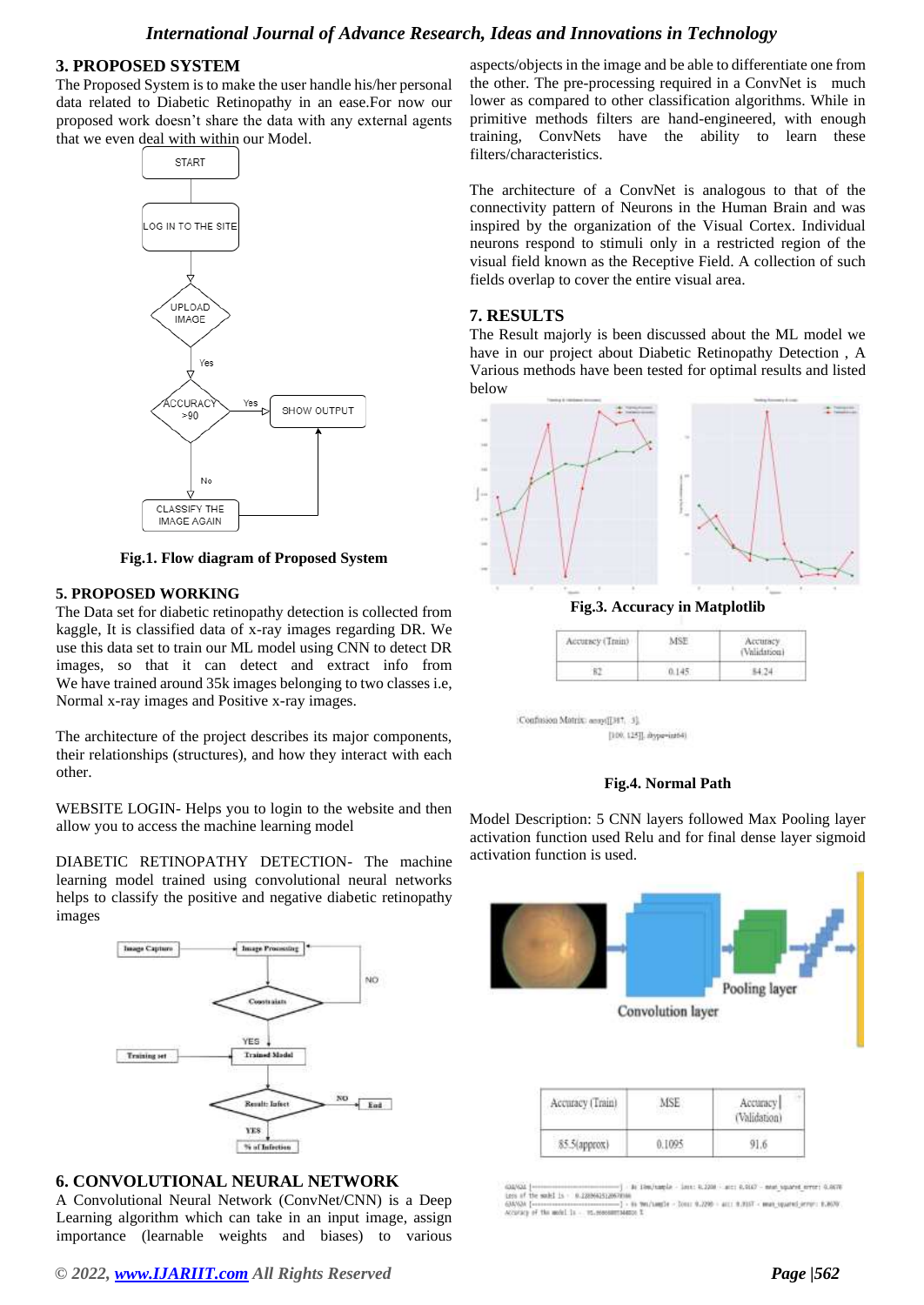# *International Journal of Advance Research, Ideas and Innovations in Technology*

#### **3. PROPOSED SYSTEM**

The Proposed System is to make the user handle his/her personal data related to Diabetic Retinopathy in an ease.For now our proposed work doesn't share the data with any external agents that we even deal with within our Model.



**Fig.1. Flow diagram of Proposed System**

#### **5. PROPOSED WORKING**

The Data set for diabetic retinopathy detection is collected from kaggle, It is classified data of x-ray images regarding DR. We use this data set to train our ML model using CNN to detect DR images, so that it can detect and extract info from We have trained around 35k images belonging to two classes i.e, Normal x-ray images and Positive x-ray images.

The architecture of the project describes its major components, their relationships (structures), and how they interact with each other.

WEBSITE LOGIN- Helps you to login to the website and then allow you to access the machine learning model

DIABETIC RETINOPATHY DETECTION- The machine learning model trained using convolutional neural networks helps to classify the positive and negative diabetic retinopathy images



#### **6. CONVOLUTIONAL NEURAL NETWORK**

A Convolutional Neural Network (ConvNet/CNN) is a Deep Learning algorithm which can take in an input image, assign importance (learnable weights and biases) to various

*© 2022[, www.IJARIIT.com](file:///C:/omak/Downloads/www.IJARIIT.com) All Rights Reserved Page |562*

aspects/objects in the image and be able to differentiate one from the other. The pre-processing required in a ConvNet is much lower as compared to other classification algorithms. While in primitive methods filters are hand-engineered, with enough training, ConvNets have the ability to learn these filters/characteristics.

The architecture of a ConvNet is analogous to that of the connectivity pattern of Neurons in the Human Brain and was inspired by the organization of the Visual Cortex. Individual neurons respond to stimuli only in a restricted region of the visual field known as the Receptive Field. A collection of such fields overlap to cover the entire visual area.

#### **7. RESULTS**

The Result majorly is been discussed about the ML model we have in our project about Diabetic Retinopathy Detection , A Various methods have been tested for optimal results and listed below



**Fig.3. Accuracy in Matplotlib**

| miner."<br>5555555 | Accuracy |
|--------------------|----------|
|                    |          |

:Confusion Matrix: appel[1917, 3]; [100, 125]], shype-intri-



Model Description: 5 CNN layers followed Max Pooling layer activation function used Relu and for final dense layer sigmoid activation function is used.



in Healthaple - Jane: R.1208 - are: R.9107 - must squared error: G.0076 the suita is - 0.28064312670 de mobilis - 0.12000a312007010.<br>- 1 The mobilis - 15.000 - 17.000 - 17.000 - 17.010 - 17.010 - 17.010 - 17.010 - 17.010 - 17.010 - 17.010 - 17<br>- 1 The mobilis - 15.00000003134000 %